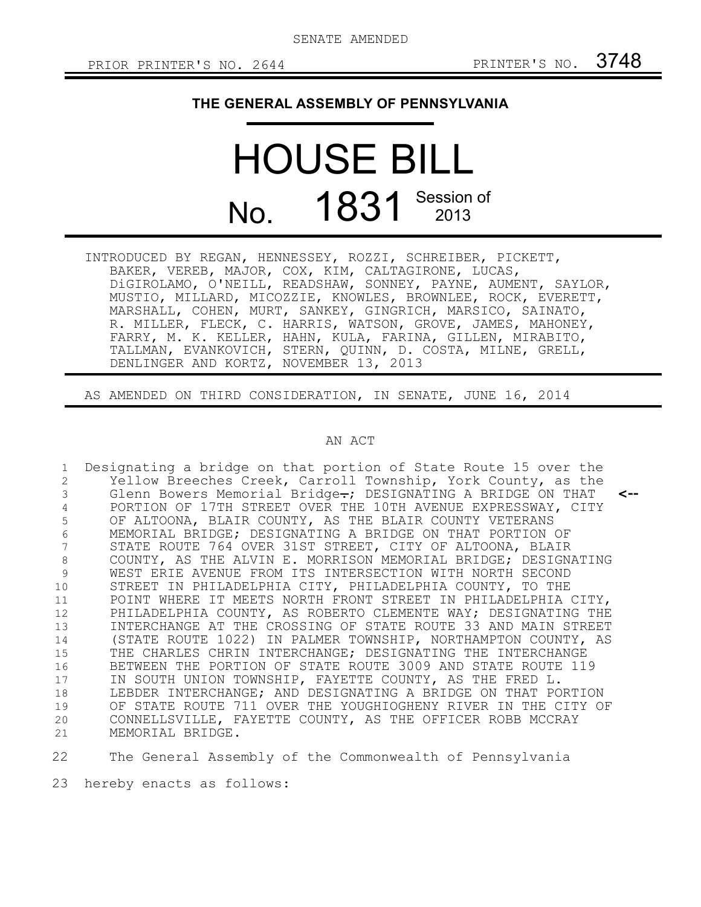## **THE GENERAL ASSEMBLY OF PENNSYLVANIA**

## HOUSE BILL No. 1831 Session of

INTRODUCED BY REGAN, HENNESSEY, ROZZI, SCHREIBER, PICKETT, BAKER, VEREB, MAJOR, COX, KIM, CALTAGIRONE, LUCAS, DiGIROLAMO, O'NEILL, READSHAW, SONNEY, PAYNE, AUMENT, SAYLOR, MUSTIO, MILLARD, MICOZZIE, KNOWLES, BROWNLEE, ROCK, EVERETT, MARSHALL, COHEN, MURT, SANKEY, GINGRICH, MARSICO, SAINATO, R. MILLER, FLECK, C. HARRIS, WATSON, GROVE, JAMES, MAHONEY, FARRY, M. K. KELLER, HAHN, KULA, FARINA, GILLEN, MIRABITO, TALLMAN, EVANKOVICH, STERN, QUINN, D. COSTA, MILNE, GRELL, DENLINGER AND KORTZ, NOVEMBER 13, 2013

AS AMENDED ON THIRD CONSIDERATION, IN SENATE, JUNE 16, 2014

## AN ACT

Designating a bridge on that portion of State Route 15 over the Yellow Breeches Creek, Carroll Township, York County, as the Glenn Bowers Memorial Bridge.; DESIGNATING A BRIDGE ON THAT PORTION OF 17TH STREET OVER THE 10TH AVENUE EXPRESSWAY, CITY OF ALTOONA, BLAIR COUNTY, AS THE BLAIR COUNTY VETERANS MEMORIAL BRIDGE; DESIGNATING A BRIDGE ON THAT PORTION OF STATE ROUTE 764 OVER 31ST STREET, CITY OF ALTOONA, BLAIR COUNTY, AS THE ALVIN E. MORRISON MEMORIAL BRIDGE; DESIGNATING WEST ERIE AVENUE FROM ITS INTERSECTION WITH NORTH SECOND STREET IN PHILADELPHIA CITY, PHILADELPHIA COUNTY, TO THE POINT WHERE IT MEETS NORTH FRONT STREET IN PHILADELPHIA CITY, PHILADELPHIA COUNTY, AS ROBERTO CLEMENTE WAY; DESIGNATING THE INTERCHANGE AT THE CROSSING OF STATE ROUTE 33 AND MAIN STREET (STATE ROUTE 1022) IN PALMER TOWNSHIP, NORTHAMPTON COUNTY, AS THE CHARLES CHRIN INTERCHANGE; DESIGNATING THE INTERCHANGE BETWEEN THE PORTION OF STATE ROUTE 3009 AND STATE ROUTE 119 IN SOUTH UNION TOWNSHIP, FAYETTE COUNTY, AS THE FRED L. LEBDER INTERCHANGE; AND DESIGNATING A BRIDGE ON THAT PORTION OF STATE ROUTE 711 OVER THE YOUGHIOGHENY RIVER IN THE CITY OF CONNELLSVILLE, FAYETTE COUNTY, AS THE OFFICER ROBB MCCRAY MEMORIAL BRIDGE. **<--** 1 2 3 4 5 6 7 8 9 10 11 12 13 14 15 16 17 18 19 20 21

The General Assembly of the Commonwealth of Pennsylvania 22

hereby enacts as follows: 23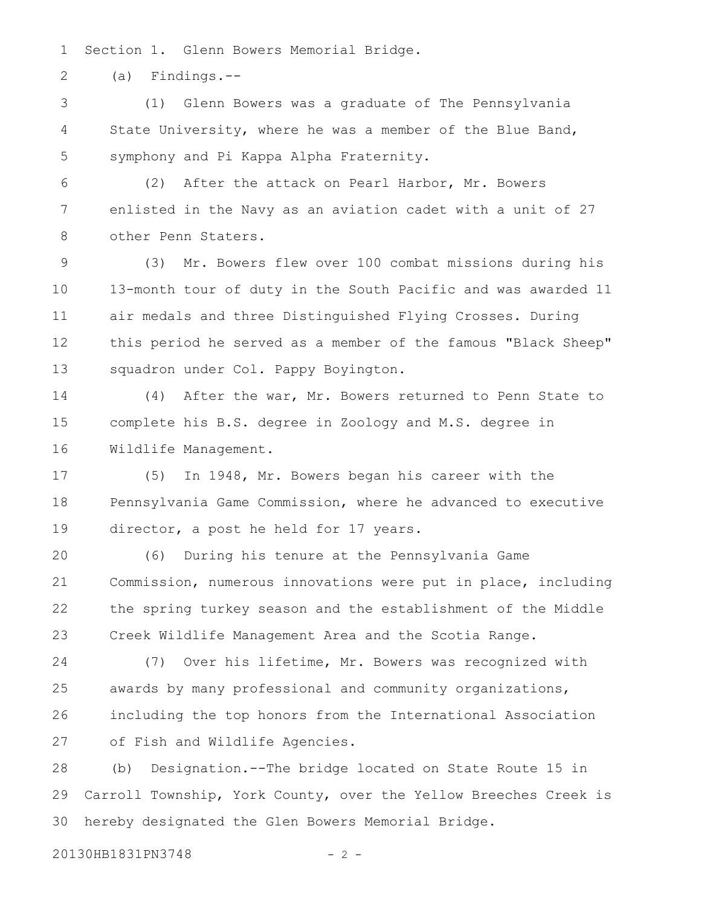Section 1. Glenn Bowers Memorial Bridge. 1

(a) Findings.-- 2

(1) Glenn Bowers was a graduate of The Pennsylvania State University, where he was a member of the Blue Band, symphony and Pi Kappa Alpha Fraternity. 3 4 5

(2) After the attack on Pearl Harbor, Mr. Bowers enlisted in the Navy as an aviation cadet with a unit of 27 other Penn Staters. 6 7 8

(3) Mr. Bowers flew over 100 combat missions during his 13-month tour of duty in the South Pacific and was awarded 11 air medals and three Distinguished Flying Crosses. During this period he served as a member of the famous "Black Sheep" squadron under Col. Pappy Boyington. 9 10 11 12 13

(4) After the war, Mr. Bowers returned to Penn State to complete his B.S. degree in Zoology and M.S. degree in Wildlife Management. 14 15 16

(5) In 1948, Mr. Bowers began his career with the Pennsylvania Game Commission, where he advanced to executive director, a post he held for 17 years. 17 18 19

(6) During his tenure at the Pennsylvania Game Commission, numerous innovations were put in place, including the spring turkey season and the establishment of the Middle Creek Wildlife Management Area and the Scotia Range. 20 21 22 23

(7) Over his lifetime, Mr. Bowers was recognized with awards by many professional and community organizations, including the top honors from the International Association of Fish and Wildlife Agencies. 24 25 26 27

(b) Designation.--The bridge located on State Route 15 in Carroll Township, York County, over the Yellow Breeches Creek is hereby designated the Glen Bowers Memorial Bridge. 28 29 30

20130HB1831PN3748 - 2 -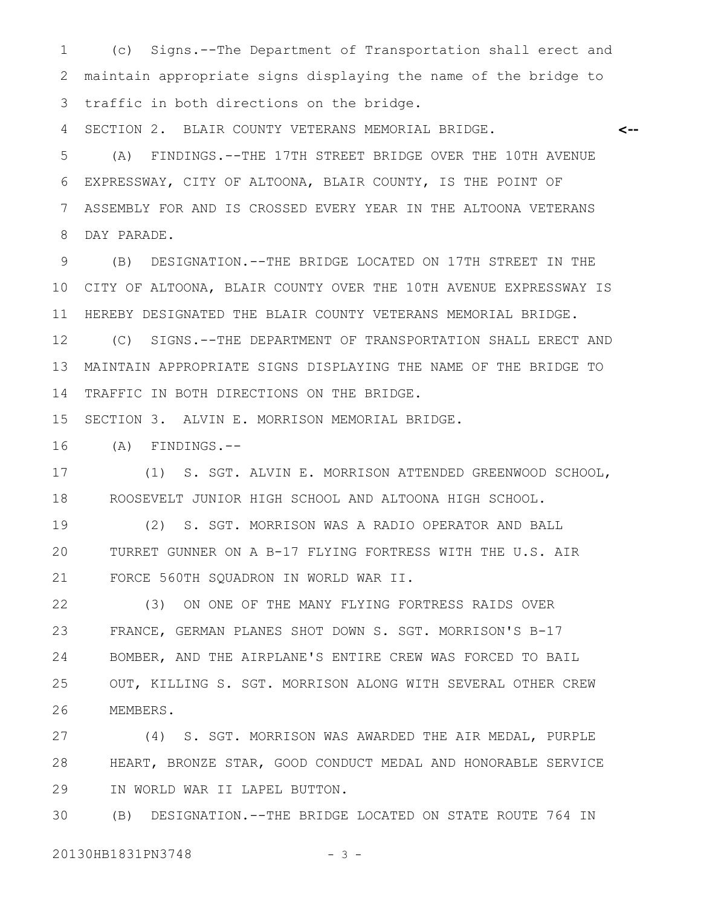(c) Signs.--The Department of Transportation shall erect and maintain appropriate signs displaying the name of the bridge to traffic in both directions on the bridge. 1 2 3

**<--**

SECTION 2. BLAIR COUNTY VETERANS MEMORIAL BRIDGE. 4

(A) FINDINGS.--THE 17TH STREET BRIDGE OVER THE 10TH AVENUE EXPRESSWAY, CITY OF ALTOONA, BLAIR COUNTY, IS THE POINT OF ASSEMBLY FOR AND IS CROSSED EVERY YEAR IN THE ALTOONA VETERANS DAY PARADE. 5 6 7 8

(B) DESIGNATION.--THE BRIDGE LOCATED ON 17TH STREET IN THE CITY OF ALTOONA, BLAIR COUNTY OVER THE 10TH AVENUE EXPRESSWAY IS HEREBY DESIGNATED THE BLAIR COUNTY VETERANS MEMORIAL BRIDGE. 9 10 11

(C) SIGNS.--THE DEPARTMENT OF TRANSPORTATION SHALL ERECT AND MAINTAIN APPROPRIATE SIGNS DISPLAYING THE NAME OF THE BRIDGE TO TRAFFIC IN BOTH DIRECTIONS ON THE BRIDGE. 12 13 14

SECTION 3. ALVIN E. MORRISON MEMORIAL BRIDGE. 15

(A) FINDINGS.-- 16

(1) S. SGT. ALVIN E. MORRISON ATTENDED GREENWOOD SCHOOL, ROOSEVELT JUNIOR HIGH SCHOOL AND ALTOONA HIGH SCHOOL. 17 18

(2) S. SGT. MORRISON WAS A RADIO OPERATOR AND BALL TURRET GUNNER ON A B-17 FLYING FORTRESS WITH THE U.S. AIR FORCE 560TH SQUADRON IN WORLD WAR II. 19 20 21

(3) ON ONE OF THE MANY FLYING FORTRESS RAIDS OVER FRANCE, GERMAN PLANES SHOT DOWN S. SGT. MORRISON'S B-17 BOMBER, AND THE AIRPLANE'S ENTIRE CREW WAS FORCED TO BAIL OUT, KILLING S. SGT. MORRISON ALONG WITH SEVERAL OTHER CREW MEMBERS. 22 23 24 25 26

(4) S. SGT. MORRISON WAS AWARDED THE AIR MEDAL, PURPLE HEART, BRONZE STAR, GOOD CONDUCT MEDAL AND HONORABLE SERVICE IN WORLD WAR II LAPEL BUTTON. 27 28 29

(B) DESIGNATION.--THE BRIDGE LOCATED ON STATE ROUTE 764 IN 30

20130HB1831PN3748 - 3 -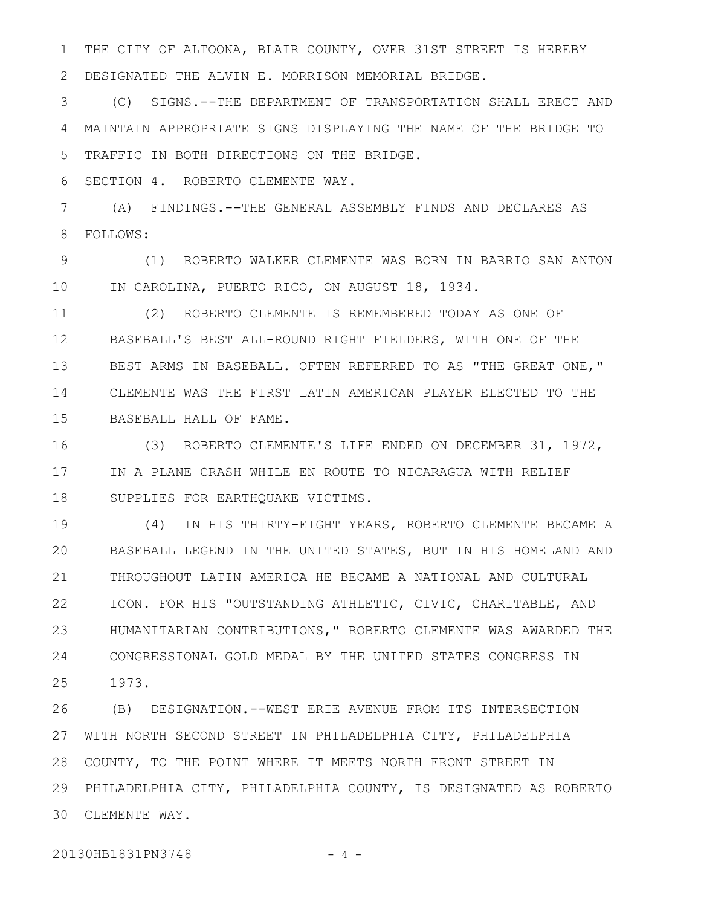THE CITY OF ALTOONA, BLAIR COUNTY, OVER 31ST STREET IS HEREBY 1

DESIGNATED THE ALVIN E. MORRISON MEMORIAL BRIDGE. 2

(C) SIGNS.--THE DEPARTMENT OF TRANSPORTATION SHALL ERECT AND MAINTAIN APPROPRIATE SIGNS DISPLAYING THE NAME OF THE BRIDGE TO TRAFFIC IN BOTH DIRECTIONS ON THE BRIDGE. 3 4 5

SECTION 4. ROBERTO CLEMENTE WAY. 6

(A) FINDINGS.--THE GENERAL ASSEMBLY FINDS AND DECLARES AS FOLLOWS: 7 8

(1) ROBERTO WALKER CLEMENTE WAS BORN IN BARRIO SAN ANTON IN CAROLINA, PUERTO RICO, ON AUGUST 18, 1934. 9 10

(2) ROBERTO CLEMENTE IS REMEMBERED TODAY AS ONE OF BASEBALL'S BEST ALL-ROUND RIGHT FIELDERS, WITH ONE OF THE BEST ARMS IN BASEBALL. OFTEN REFERRED TO AS "THE GREAT ONE," CLEMENTE WAS THE FIRST LATIN AMERICAN PLAYER ELECTED TO THE BASEBALL HALL OF FAME. 11 12 13 14 15

(3) ROBERTO CLEMENTE'S LIFE ENDED ON DECEMBER 31, 1972, IN A PLANE CRASH WHILE EN ROUTE TO NICARAGUA WITH RELIEF SUPPLIES FOR EARTHQUAKE VICTIMS. 16 17 18

(4) IN HIS THIRTY-EIGHT YEARS, ROBERTO CLEMENTE BECAME A BASEBALL LEGEND IN THE UNITED STATES, BUT IN HIS HOMELAND AND THROUGHOUT LATIN AMERICA HE BECAME A NATIONAL AND CULTURAL ICON. FOR HIS "OUTSTANDING ATHLETIC, CIVIC, CHARITABLE, AND HUMANITARIAN CONTRIBUTIONS," ROBERTO CLEMENTE WAS AWARDED THE CONGRESSIONAL GOLD MEDAL BY THE UNITED STATES CONGRESS IN 1973. 19  $20$ 21 22 23 24 25

(B) DESIGNATION.--WEST ERIE AVENUE FROM ITS INTERSECTION WITH NORTH SECOND STREET IN PHILADELPHIA CITY, PHILADELPHIA COUNTY, TO THE POINT WHERE IT MEETS NORTH FRONT STREET IN PHILADELPHIA CITY, PHILADELPHIA COUNTY, IS DESIGNATED AS ROBERTO 29 CLEMENTE WAY. 3026 27 28

20130HB1831PN3748 - 4 -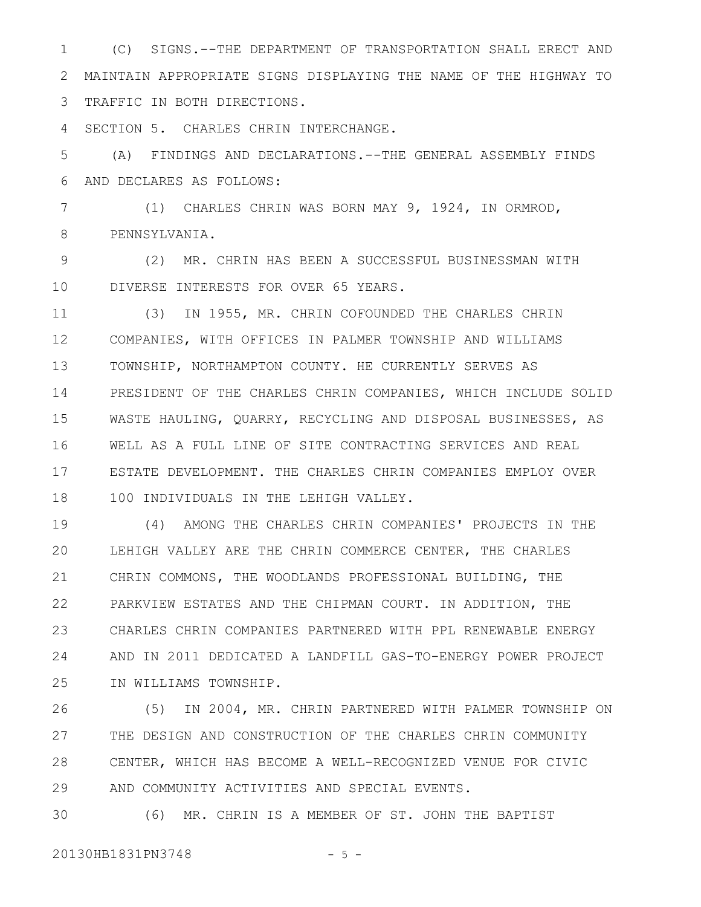(C) SIGNS.--THE DEPARTMENT OF TRANSPORTATION SHALL ERECT AND MAINTAIN APPROPRIATE SIGNS DISPLAYING THE NAME OF THE HIGHWAY TO TRAFFIC IN BOTH DIRECTIONS. 1 2 3

SECTION 5. CHARLES CHRIN INTERCHANGE. 4

(A) FINDINGS AND DECLARATIONS.--THE GENERAL ASSEMBLY FINDS AND DECLARES AS FOLLOWS: 5 6

(1) CHARLES CHRIN WAS BORN MAY 9, 1924, IN ORMROD, PENNSYLVANIA. 7 8

(2) MR. CHRIN HAS BEEN A SUCCESSFUL BUSINESSMAN WITH DIVERSE INTERESTS FOR OVER 65 YEARS. 9 10

(3) IN 1955, MR. CHRIN COFOUNDED THE CHARLES CHRIN COMPANIES, WITH OFFICES IN PALMER TOWNSHIP AND WILLIAMS TOWNSHIP, NORTHAMPTON COUNTY. HE CURRENTLY SERVES AS PRESIDENT OF THE CHARLES CHRIN COMPANIES, WHICH INCLUDE SOLID WASTE HAULING, QUARRY, RECYCLING AND DISPOSAL BUSINESSES, AS WELL AS A FULL LINE OF SITE CONTRACTING SERVICES AND REAL ESTATE DEVELOPMENT. THE CHARLES CHRIN COMPANIES EMPLOY OVER 100 INDIVIDUALS IN THE LEHIGH VALLEY. 11 12 13 14 15 16 17 18

(4) AMONG THE CHARLES CHRIN COMPANIES' PROJECTS IN THE LEHIGH VALLEY ARE THE CHRIN COMMERCE CENTER, THE CHARLES CHRIN COMMONS, THE WOODLANDS PROFESSIONAL BUILDING, THE PARKVIEW ESTATES AND THE CHIPMAN COURT. IN ADDITION, THE CHARLES CHRIN COMPANIES PARTNERED WITH PPL RENEWABLE ENERGY AND IN 2011 DEDICATED A LANDFILL GAS-TO-ENERGY POWER PROJECT IN WILLIAMS TOWNSHIP. 19  $20$ 21 22 23 24 25

(5) IN 2004, MR. CHRIN PARTNERED WITH PALMER TOWNSHIP ON THE DESIGN AND CONSTRUCTION OF THE CHARLES CHRIN COMMUNITY CENTER, WHICH HAS BECOME A WELL-RECOGNIZED VENUE FOR CIVIC AND COMMUNITY ACTIVITIES AND SPECIAL EVENTS. 26 27 28 29

(6) MR. CHRIN IS A MEMBER OF ST. JOHN THE BAPTIST 30

20130HB1831PN3748 - 5 -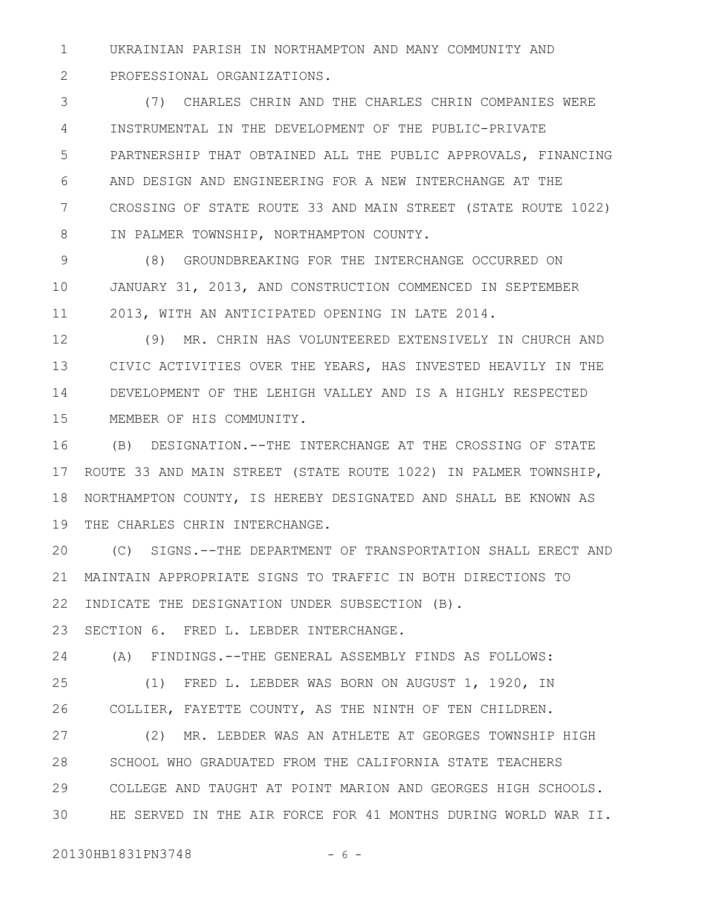UKRAINIAN PARISH IN NORTHAMPTON AND MANY COMMUNITY AND PROFESSIONAL ORGANIZATIONS. 1 2

(7) CHARLES CHRIN AND THE CHARLES CHRIN COMPANIES WERE INSTRUMENTAL IN THE DEVELOPMENT OF THE PUBLIC-PRIVATE PARTNERSHIP THAT OBTAINED ALL THE PUBLIC APPROVALS, FINANCING AND DESIGN AND ENGINEERING FOR A NEW INTERCHANGE AT THE CROSSING OF STATE ROUTE 33 AND MAIN STREET (STATE ROUTE 1022) IN PALMER TOWNSHIP, NORTHAMPTON COUNTY. 3 4 5 6 7 8

(8) GROUNDBREAKING FOR THE INTERCHANGE OCCURRED ON JANUARY 31, 2013, AND CONSTRUCTION COMMENCED IN SEPTEMBER 2013, WITH AN ANTICIPATED OPENING IN LATE 2014. 9 10 11

(9) MR. CHRIN HAS VOLUNTEERED EXTENSIVELY IN CHURCH AND CIVIC ACTIVITIES OVER THE YEARS, HAS INVESTED HEAVILY IN THE DEVELOPMENT OF THE LEHIGH VALLEY AND IS A HIGHLY RESPECTED MEMBER OF HIS COMMUNITY. 12 13 14 15

(B) DESIGNATION.--THE INTERCHANGE AT THE CROSSING OF STATE ROUTE 33 AND MAIN STREET (STATE ROUTE 1022) IN PALMER TOWNSHIP, NORTHAMPTON COUNTY, IS HEREBY DESIGNATED AND SHALL BE KNOWN AS 19 THE CHARLES CHRIN INTERCHANGE. 16 17 18

(C) SIGNS.--THE DEPARTMENT OF TRANSPORTATION SHALL ERECT AND MAINTAIN APPROPRIATE SIGNS TO TRAFFIC IN BOTH DIRECTIONS TO 21 22 INDICATE THE DESIGNATION UNDER SUBSECTION (B). 20

SECTION 6. FRED L. LEBDER INTERCHANGE. 23

(A) FINDINGS.--THE GENERAL ASSEMBLY FINDS AS FOLLOWS: 24

(1) FRED L. LEBDER WAS BORN ON AUGUST 1, 1920, IN COLLIER, FAYETTE COUNTY, AS THE NINTH OF TEN CHILDREN. 25 26

(2) MR. LEBDER WAS AN ATHLETE AT GEORGES TOWNSHIP HIGH SCHOOL WHO GRADUATED FROM THE CALIFORNIA STATE TEACHERS COLLEGE AND TAUGHT AT POINT MARION AND GEORGES HIGH SCHOOLS. HE SERVED IN THE AIR FORCE FOR 41 MONTHS DURING WORLD WAR II. 27 28 29 30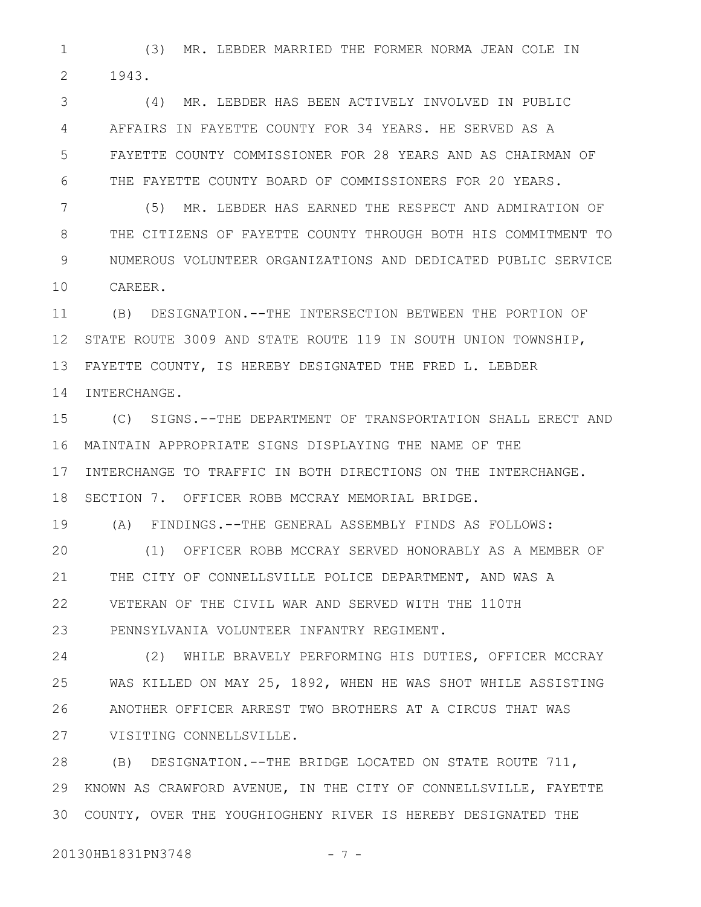(3) MR. LEBDER MARRIED THE FORMER NORMA JEAN COLE IN 1943. 1 2

(4) MR. LEBDER HAS BEEN ACTIVELY INVOLVED IN PUBLIC AFFAIRS IN FAYETTE COUNTY FOR 34 YEARS. HE SERVED AS A FAYETTE COUNTY COMMISSIONER FOR 28 YEARS AND AS CHAIRMAN OF THE FAYETTE COUNTY BOARD OF COMMISSIONERS FOR 20 YEARS. 3 4 5 6

(5) MR. LEBDER HAS EARNED THE RESPECT AND ADMIRATION OF THE CITIZENS OF FAYETTE COUNTY THROUGH BOTH HIS COMMITMENT TO NUMEROUS VOLUNTEER ORGANIZATIONS AND DEDICATED PUBLIC SERVICE CAREER. 7 8 9 10

(B) DESIGNATION.--THE INTERSECTION BETWEEN THE PORTION OF STATE ROUTE 3009 AND STATE ROUTE 119 IN SOUTH UNION TOWNSHIP, FAYETTE COUNTY, IS HEREBY DESIGNATED THE FRED L. LEBDER INTERCHANGE. 11 12 13 14

(C) SIGNS.--THE DEPARTMENT OF TRANSPORTATION SHALL ERECT AND MAINTAIN APPROPRIATE SIGNS DISPLAYING THE NAME OF THE 16 INTERCHANGE TO TRAFFIC IN BOTH DIRECTIONS ON THE INTERCHANGE. SECTION 7. OFFICER ROBB MCCRAY MEMORIAL BRIDGE. 15 17 18

(A) FINDINGS.--THE GENERAL ASSEMBLY FINDS AS FOLLOWS: 19

(1) OFFICER ROBB MCCRAY SERVED HONORABLY AS A MEMBER OF THE CITY OF CONNELLSVILLE POLICE DEPARTMENT, AND WAS A VETERAN OF THE CIVIL WAR AND SERVED WITH THE 110TH PENNSYLVANIA VOLUNTEER INFANTRY REGIMENT.  $20$ 21 22 23

(2) WHILE BRAVELY PERFORMING HIS DUTIES, OFFICER MCCRAY WAS KILLED ON MAY 25, 1892, WHEN HE WAS SHOT WHILE ASSISTING ANOTHER OFFICER ARREST TWO BROTHERS AT A CIRCUS THAT WAS VISITING CONNELLSVILLE. 24 25 26 27

(B) DESIGNATION.--THE BRIDGE LOCATED ON STATE ROUTE 711, 29 KNOWN AS CRAWFORD AVENUE, IN THE CITY OF CONNELLSVILLE, FAYETTE COUNTY, OVER THE YOUGHIOGHENY RIVER IS HEREBY DESIGNATED THE 3028